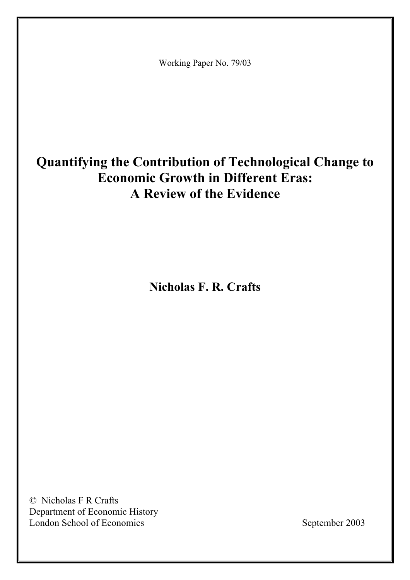Working Paper No. 79/03

# **Quantifying the Contribution of Technological Change to Economic Growth in Different Eras: A Review of the Evidence**

**Nicholas F. R. Crafts** 

© Nicholas F R Crafts Department of Economic History London School of Economics September 2003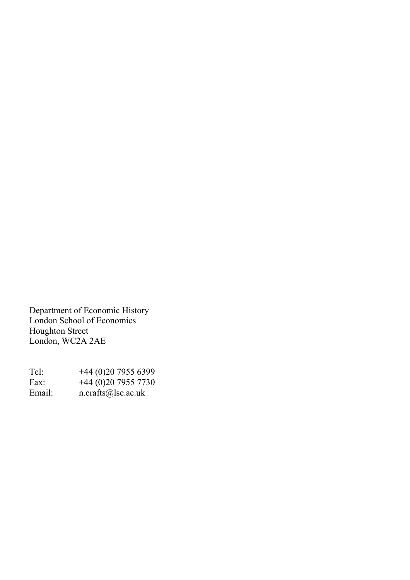Department of Economic History London School of Economics Houghton Street London, WC2A 2AE

| Tel:   | $+44(0)2079556399$              |
|--------|---------------------------------|
| Fax:   | $+44(0)2079557730$              |
| Email: | $n. \text{crafts}(a)$ lse.ac.uk |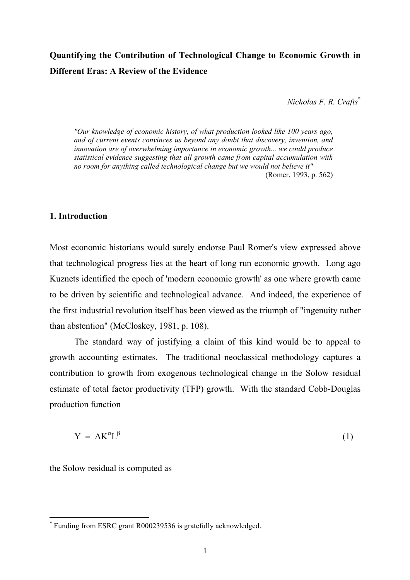# **Quantifying the Contribution of Technological Change to Economic Growth in Different Eras: A Review of the Evidence**

*Nicholas F. R. Crafts*[\\*](#page-2-0)

*"Our knowledge of economic history, of what production looked like 100 years ago, and of current events convinces us beyond any doubt that discovery, invention, and innovation are of overwhelming importance in economic growth... we could produce statistical evidence suggesting that all growth came from capital accumulation with no room for anything called technological change but we would not believe it"*  (Romer, 1993, p. 562)

#### **1. Introduction**

Most economic historians would surely endorse Paul Romer's view expressed above that technological progress lies at the heart of long run economic growth. Long ago Kuznets identified the epoch of 'modern economic growth' as one where growth came to be driven by scientific and technological advance. And indeed, the experience of the first industrial revolution itself has been viewed as the triumph of "ingenuity rather than abstention" (McCloskey, 1981, p. 108).

The standard way of justifying a claim of this kind would be to appeal to growth accounting estimates. The traditional neoclassical methodology captures a contribution to growth from exogenous technological change in the Solow residual estimate of total factor productivity (TFP) growth. With the standard Cobb-Douglas production function

$$
Y = AK^{\alpha}L^{\beta} \tag{1}
$$

the Solow residual is computed as

 $\overline{a}$ 

<span id="page-2-0"></span><sup>\*</sup> Funding from ESRC grant R000239536 is gratefully acknowledged.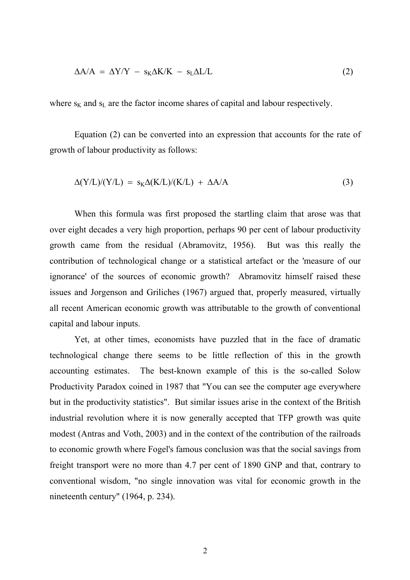$$
\Delta A/A = \Delta Y/Y - s_K \Delta K/K - s_L \Delta L/L \tag{2}
$$

where  $s_K$  and  $s_L$  are the factor income shares of capital and labour respectively.

Equation (2) can be converted into an expression that accounts for the rate of growth of labour productivity as follows:

$$
\Delta(Y/L)/(Y/L) = s_K \Delta(K/L)/(K/L) + \Delta A/A \tag{3}
$$

When this formula was first proposed the startling claim that arose was that over eight decades a very high proportion, perhaps 90 per cent of labour productivity growth came from the residual (Abramovitz, 1956). But was this really the contribution of technological change or a statistical artefact or the 'measure of our ignorance' of the sources of economic growth? Abramovitz himself raised these issues and Jorgenson and Griliches (1967) argued that, properly measured, virtually all recent American economic growth was attributable to the growth of conventional capital and labour inputs.

Yet, at other times, economists have puzzled that in the face of dramatic technological change there seems to be little reflection of this in the growth accounting estimates. The best-known example of this is the so-called Solow Productivity Paradox coined in 1987 that "You can see the computer age everywhere but in the productivity statistics". But similar issues arise in the context of the British industrial revolution where it is now generally accepted that TFP growth was quite modest (Antras and Voth, 2003) and in the context of the contribution of the railroads to economic growth where Fogel's famous conclusion was that the social savings from freight transport were no more than 4.7 per cent of 1890 GNP and that, contrary to conventional wisdom, "no single innovation was vital for economic growth in the nineteenth century" (1964, p. 234).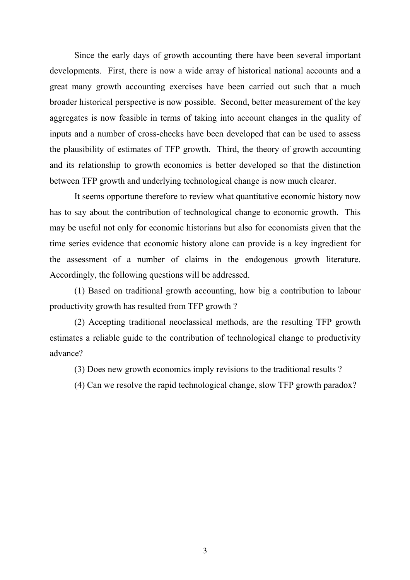Since the early days of growth accounting there have been several important developments. First, there is now a wide array of historical national accounts and a great many growth accounting exercises have been carried out such that a much broader historical perspective is now possible. Second, better measurement of the key aggregates is now feasible in terms of taking into account changes in the quality of inputs and a number of cross-checks have been developed that can be used to assess the plausibility of estimates of TFP growth. Third, the theory of growth accounting and its relationship to growth economics is better developed so that the distinction between TFP growth and underlying technological change is now much clearer.

It seems opportune therefore to review what quantitative economic history now has to say about the contribution of technological change to economic growth. This may be useful not only for economic historians but also for economists given that the time series evidence that economic history alone can provide is a key ingredient for the assessment of a number of claims in the endogenous growth literature. Accordingly, the following questions will be addressed.

(1) Based on traditional growth accounting, how big a contribution to labour productivity growth has resulted from TFP growth ?

(2) Accepting traditional neoclassical methods, are the resulting TFP growth estimates a reliable guide to the contribution of technological change to productivity advance?

(3) Does new growth economics imply revisions to the traditional results ?

(4) Can we resolve the rapid technological change, slow TFP growth paradox?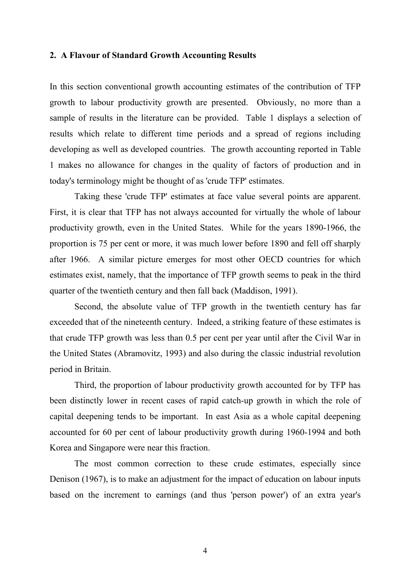#### **2. A Flavour of Standard Growth Accounting Results**

In this section conventional growth accounting estimates of the contribution of TFP growth to labour productivity growth are presented. Obviously, no more than a sample of results in the literature can be provided. Table 1 displays a selection of results which relate to different time periods and a spread of regions including developing as well as developed countries. The growth accounting reported in Table 1 makes no allowance for changes in the quality of factors of production and in today's terminology might be thought of as 'crude TFP' estimates.

Taking these 'crude TFP' estimates at face value several points are apparent. First, it is clear that TFP has not always accounted for virtually the whole of labour productivity growth, even in the United States. While for the years 1890-1966, the proportion is 75 per cent or more, it was much lower before 1890 and fell off sharply after 1966. A similar picture emerges for most other OECD countries for which estimates exist, namely, that the importance of TFP growth seems to peak in the third quarter of the twentieth century and then fall back (Maddison, 1991).

Second, the absolute value of TFP growth in the twentieth century has far exceeded that of the nineteenth century. Indeed, a striking feature of these estimates is that crude TFP growth was less than 0.5 per cent per year until after the Civil War in the United States (Abramovitz, 1993) and also during the classic industrial revolution period in Britain.

Third, the proportion of labour productivity growth accounted for by TFP has been distinctly lower in recent cases of rapid catch-up growth in which the role of capital deepening tends to be important. In east Asia as a whole capital deepening accounted for 60 per cent of labour productivity growth during 1960-1994 and both Korea and Singapore were near this fraction.

The most common correction to these crude estimates, especially since Denison (1967), is to make an adjustment for the impact of education on labour inputs based on the increment to earnings (and thus 'person power') of an extra year's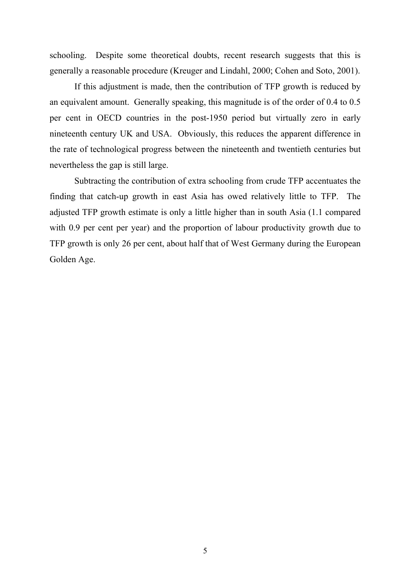schooling. Despite some theoretical doubts, recent research suggests that this is generally a reasonable procedure (Kreuger and Lindahl, 2000; Cohen and Soto, 2001).

If this adjustment is made, then the contribution of TFP growth is reduced by an equivalent amount. Generally speaking, this magnitude is of the order of 0.4 to 0.5 per cent in OECD countries in the post-1950 period but virtually zero in early nineteenth century UK and USA. Obviously, this reduces the apparent difference in the rate of technological progress between the nineteenth and twentieth centuries but nevertheless the gap is still large.

Subtracting the contribution of extra schooling from crude TFP accentuates the finding that catch-up growth in east Asia has owed relatively little to TFP. The adjusted TFP growth estimate is only a little higher than in south Asia (1.1 compared with 0.9 per cent per year) and the proportion of labour productivity growth due to TFP growth is only 26 per cent, about half that of West Germany during the European Golden Age.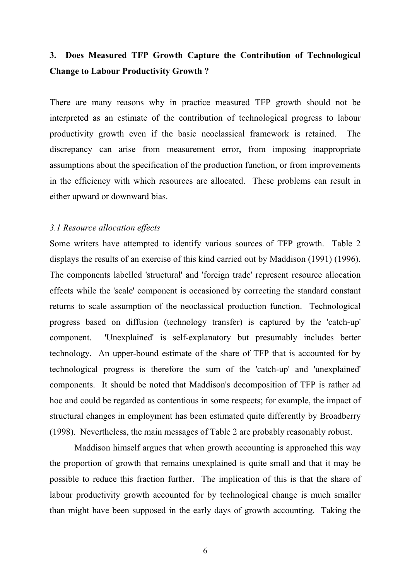# **3. Does Measured TFP Growth Capture the Contribution of Technological Change to Labour Productivity Growth ?**

There are many reasons why in practice measured TFP growth should not be interpreted as an estimate of the contribution of technological progress to labour productivity growth even if the basic neoclassical framework is retained. The discrepancy can arise from measurement error, from imposing inappropriate assumptions about the specification of the production function, or from improvements in the efficiency with which resources are allocated. These problems can result in either upward or downward bias.

#### *3.1 Resource allocation effects*

Some writers have attempted to identify various sources of TFP growth. Table 2 displays the results of an exercise of this kind carried out by Maddison (1991) (1996). The components labelled 'structural' and 'foreign trade' represent resource allocation effects while the 'scale' component is occasioned by correcting the standard constant returns to scale assumption of the neoclassical production function. Technological progress based on diffusion (technology transfer) is captured by the 'catch-up' component. 'Unexplained' is self-explanatory but presumably includes better technology. An upper-bound estimate of the share of TFP that is accounted for by technological progress is therefore the sum of the 'catch-up' and 'unexplained' components. It should be noted that Maddison's decomposition of TFP is rather ad hoc and could be regarded as contentious in some respects; for example, the impact of structural changes in employment has been estimated quite differently by Broadberry (1998). Nevertheless, the main messages of Table 2 are probably reasonably robust.

Maddison himself argues that when growth accounting is approached this way the proportion of growth that remains unexplained is quite small and that it may be possible to reduce this fraction further. The implication of this is that the share of labour productivity growth accounted for by technological change is much smaller than might have been supposed in the early days of growth accounting. Taking the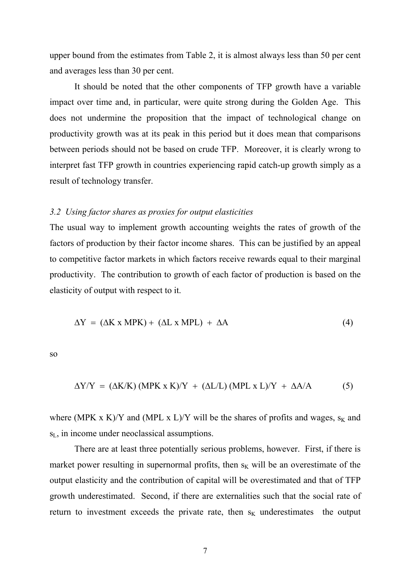upper bound from the estimates from Table 2, it is almost always less than 50 per cent and averages less than 30 per cent.

It should be noted that the other components of TFP growth have a variable impact over time and, in particular, were quite strong during the Golden Age. This does not undermine the proposition that the impact of technological change on productivity growth was at its peak in this period but it does mean that comparisons between periods should not be based on crude TFP. Moreover, it is clearly wrong to interpret fast TFP growth in countries experiencing rapid catch-up growth simply as a result of technology transfer.

#### *3.2 Using factor shares as proxies for output elasticities*

The usual way to implement growth accounting weights the rates of growth of the factors of production by their factor income shares. This can be justified by an appeal to competitive factor markets in which factors receive rewards equal to their marginal productivity. The contribution to growth of each factor of production is based on the elasticity of output with respect to it.

$$
\Delta Y = (\Delta K \times MPK) + (\Delta L \times MPL) + \Delta A \tag{4}
$$

so

$$
\Delta Y/Y = (\Delta K/K) (MPK x K)/Y + (\Delta L/L) (MPL x L)/Y + \Delta A/A
$$
 (5)

where (MPK x K)/Y and (MPL x L)/Y will be the shares of profits and wages,  $s_K$  and sL, in income under neoclassical assumptions.

There are at least three potentially serious problems, however. First, if there is market power resulting in supernormal profits, then  $s<sub>K</sub>$  will be an overestimate of the output elasticity and the contribution of capital will be overestimated and that of TFP growth underestimated. Second, if there are externalities such that the social rate of return to investment exceeds the private rate, then  $s_K$  underestimates the output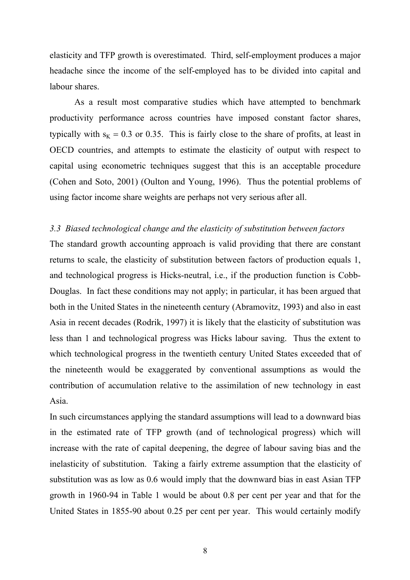elasticity and TFP growth is overestimated. Third, self-employment produces a major headache since the income of the self-employed has to be divided into capital and labour shares.

As a result most comparative studies which have attempted to benchmark productivity performance across countries have imposed constant factor shares, typically with  $s_K = 0.3$  or 0.35. This is fairly close to the share of profits, at least in OECD countries, and attempts to estimate the elasticity of output with respect to capital using econometric techniques suggest that this is an acceptable procedure (Cohen and Soto, 2001) (Oulton and Young, 1996). Thus the potential problems of using factor income share weights are perhaps not very serious after all.

#### *3.3 Biased technological change and the elasticity of substitution between factors*

The standard growth accounting approach is valid providing that there are constant returns to scale, the elasticity of substitution between factors of production equals 1, and technological progress is Hicks-neutral, i.e., if the production function is Cobb-Douglas. In fact these conditions may not apply; in particular, it has been argued that both in the United States in the nineteenth century (Abramovitz, 1993) and also in east Asia in recent decades (Rodrik, 1997) it is likely that the elasticity of substitution was less than 1 and technological progress was Hicks labour saving. Thus the extent to which technological progress in the twentieth century United States exceeded that of the nineteenth would be exaggerated by conventional assumptions as would the contribution of accumulation relative to the assimilation of new technology in east Asia.

In such circumstances applying the standard assumptions will lead to a downward bias in the estimated rate of TFP growth (and of technological progress) which will increase with the rate of capital deepening, the degree of labour saving bias and the inelasticity of substitution. Taking a fairly extreme assumption that the elasticity of substitution was as low as 0.6 would imply that the downward bias in east Asian TFP growth in 1960-94 in Table 1 would be about 0.8 per cent per year and that for the United States in 1855-90 about 0.25 per cent per year. This would certainly modify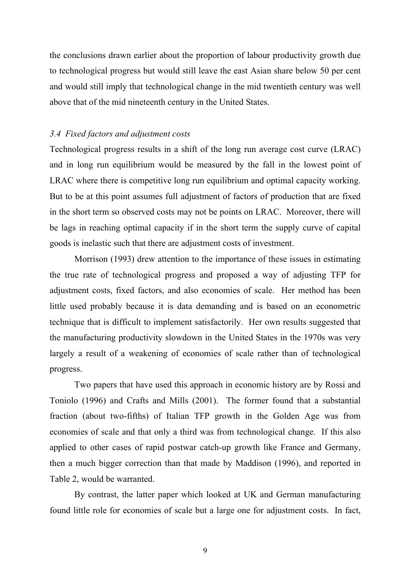the conclusions drawn earlier about the proportion of labour productivity growth due to technological progress but would still leave the east Asian share below 50 per cent and would still imply that technological change in the mid twentieth century was well above that of the mid nineteenth century in the United States.

#### *3.4 Fixed factors and adjustment costs*

Technological progress results in a shift of the long run average cost curve (LRAC) and in long run equilibrium would be measured by the fall in the lowest point of LRAC where there is competitive long run equilibrium and optimal capacity working. But to be at this point assumes full adjustment of factors of production that are fixed in the short term so observed costs may not be points on LRAC. Moreover, there will be lags in reaching optimal capacity if in the short term the supply curve of capital goods is inelastic such that there are adjustment costs of investment.

Morrison (1993) drew attention to the importance of these issues in estimating the true rate of technological progress and proposed a way of adjusting TFP for adjustment costs, fixed factors, and also economies of scale. Her method has been little used probably because it is data demanding and is based on an econometric technique that is difficult to implement satisfactorily. Her own results suggested that the manufacturing productivity slowdown in the United States in the 1970s was very largely a result of a weakening of economies of scale rather than of technological progress.

Two papers that have used this approach in economic history are by Rossi and Toniolo (1996) and Crafts and Mills (2001). The former found that a substantial fraction (about two-fifths) of Italian TFP growth in the Golden Age was from economies of scale and that only a third was from technological change. If this also applied to other cases of rapid postwar catch-up growth like France and Germany, then a much bigger correction than that made by Maddison (1996), and reported in Table 2, would be warranted.

By contrast, the latter paper which looked at UK and German manufacturing found little role for economies of scale but a large one for adjustment costs. In fact,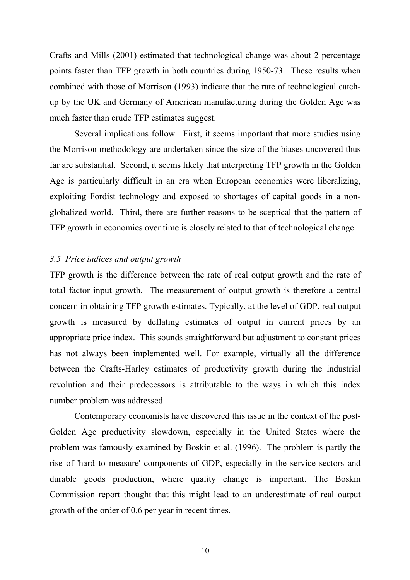Crafts and Mills (2001) estimated that technological change was about 2 percentage points faster than TFP growth in both countries during 1950-73. These results when combined with those of Morrison (1993) indicate that the rate of technological catchup by the UK and Germany of American manufacturing during the Golden Age was much faster than crude TFP estimates suggest.

Several implications follow. First, it seems important that more studies using the Morrison methodology are undertaken since the size of the biases uncovered thus far are substantial. Second, it seems likely that interpreting TFP growth in the Golden Age is particularly difficult in an era when European economies were liberalizing, exploiting Fordist technology and exposed to shortages of capital goods in a nonglobalized world. Third, there are further reasons to be sceptical that the pattern of TFP growth in economies over time is closely related to that of technological change.

#### *3.5 Price indices and output growth*

TFP growth is the difference between the rate of real output growth and the rate of total factor input growth. The measurement of output growth is therefore a central concern in obtaining TFP growth estimates. Typically, at the level of GDP, real output growth is measured by deflating estimates of output in current prices by an appropriate price index. This sounds straightforward but adjustment to constant prices has not always been implemented well. For example, virtually all the difference between the Crafts-Harley estimates of productivity growth during the industrial revolution and their predecessors is attributable to the ways in which this index number problem was addressed.

Contemporary economists have discovered this issue in the context of the post-Golden Age productivity slowdown, especially in the United States where the problem was famously examined by Boskin et al. (1996). The problem is partly the rise of 'hard to measure' components of GDP, especially in the service sectors and durable goods production, where quality change is important. The Boskin Commission report thought that this might lead to an underestimate of real output growth of the order of 0.6 per year in recent times.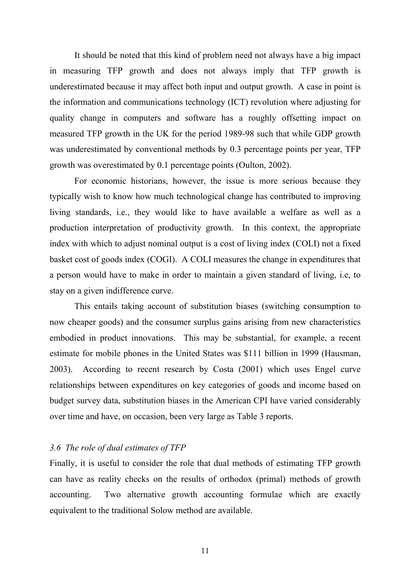It should be noted that this kind of problem need not always have a big impact in measuring TFP growth and does not always imply that TFP growth is underestimated because it may affect both input and output growth. A case in point is the information and communications technology (ICT) revolution where adjusting for quality change in computers and software has a roughly offsetting impact on measured TFP growth in the UK for the period 1989-98 such that while GDP growth was underestimated by conventional methods by 0.3 percentage points per year, TFP growth was overestimated by 0.1 percentage points (Oulton, 2002).

For economic historians, however, the issue is more serious because they typically wish to know how much technological change has contributed to improving living standards, i.e., they would like to have available a welfare as well as a production interpretation of productivity growth. In this context, the appropriate index with which to adjust nominal output is a cost of living index (COLI) not a fixed basket cost of goods index (COGI). A COLI measures the change in expenditures that a person would have to make in order to maintain a given standard of living, i.e, to stay on a given indifference curve.

This entails taking account of substitution biases (switching consumption to now cheaper goods) and the consumer surplus gains arising from new characteristics embodied in product innovations. This may be substantial, for example, a recent estimate for mobile phones in the United States was \$111 billion in 1999 (Hausman, 2003). According to recent research by Costa (2001) which uses Engel curve relationships between expenditures on key categories of goods and income based on budget survey data, substitution biases in the American CPI have varied considerably over time and have, on occasion, been very large as Table 3 reports.

#### *3.6 The role of dual estimates of TFP*

Finally, it is useful to consider the role that dual methods of estimating TFP growth can have as reality checks on the results of orthodox (primal) methods of growth accounting. Two alternative growth accounting formulae which are exactly equivalent to the traditional Solow method are available.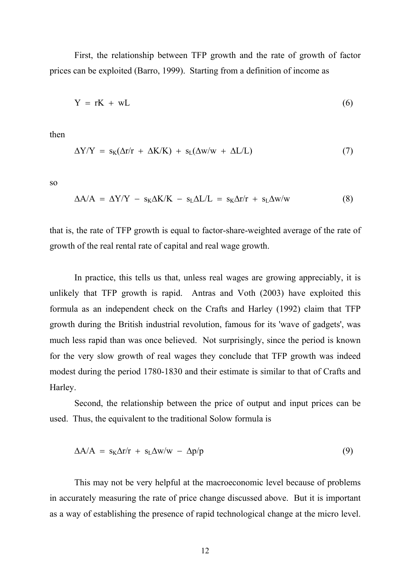First, the relationship between TFP growth and the rate of growth of factor prices can be exploited (Barro, 1999). Starting from a definition of income as

$$
Y = rK + wL \tag{6}
$$

then

$$
\Delta Y/Y = s_K(\Delta r/r + \Delta K/K) + s_L(\Delta w/w + \Delta L/L) \tag{7}
$$

so

$$
\Delta A/A = \Delta Y/Y - s_K \Delta K/K - s_L \Delta L/L = s_K \Delta r/r + s_L \Delta w/w \tag{8}
$$

that is, the rate of TFP growth is equal to factor-share-weighted average of the rate of growth of the real rental rate of capital and real wage growth.

In practice, this tells us that, unless real wages are growing appreciably, it is unlikely that TFP growth is rapid. Antras and Voth (2003) have exploited this formula as an independent check on the Crafts and Harley (1992) claim that TFP growth during the British industrial revolution, famous for its 'wave of gadgets', was much less rapid than was once believed. Not surprisingly, since the period is known for the very slow growth of real wages they conclude that TFP growth was indeed modest during the period 1780-1830 and their estimate is similar to that of Crafts and Harley.

Second, the relationship between the price of output and input prices can be used. Thus, the equivalent to the traditional Solow formula is

$$
\Delta A/A = s_K \Delta r/r + s_L \Delta w/w - \Delta p/p \tag{9}
$$

This may not be very helpful at the macroeconomic level because of problems in accurately measuring the rate of price change discussed above. But it is important as a way of establishing the presence of rapid technological change at the micro level.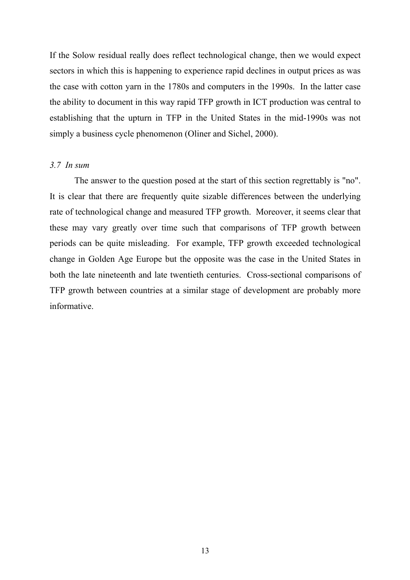If the Solow residual really does reflect technological change, then we would expect sectors in which this is happening to experience rapid declines in output prices as was the case with cotton yarn in the 1780s and computers in the 1990s. In the latter case the ability to document in this way rapid TFP growth in ICT production was central to establishing that the upturn in TFP in the United States in the mid-1990s was not simply a business cycle phenomenon (Oliner and Sichel, 2000).

#### *3.7 In sum*

The answer to the question posed at the start of this section regrettably is "no". It is clear that there are frequently quite sizable differences between the underlying rate of technological change and measured TFP growth. Moreover, it seems clear that these may vary greatly over time such that comparisons of TFP growth between periods can be quite misleading. For example, TFP growth exceeded technological change in Golden Age Europe but the opposite was the case in the United States in both the late nineteenth and late twentieth centuries. Cross-sectional comparisons of TFP growth between countries at a similar stage of development are probably more informative.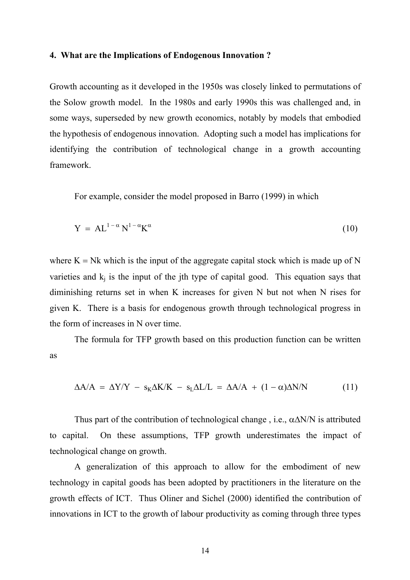#### **4. What are the Implications of Endogenous Innovation ?**

Growth accounting as it developed in the 1950s was closely linked to permutations of the Solow growth model. In the 1980s and early 1990s this was challenged and, in some ways, superseded by new growth economics, notably by models that embodied the hypothesis of endogenous innovation. Adopting such a model has implications for identifying the contribution of technological change in a growth accounting framework.

For example, consider the model proposed in Barro (1999) in which

$$
Y = AL^{1-\alpha}N^{1-\alpha}K^{\alpha}
$$
 (10)

where  $K = Nk$  which is the input of the aggregate capital stock which is made up of N varieties and  $k_i$  is the input of the jth type of capital good. This equation says that diminishing returns set in when K increases for given N but not when N rises for given K. There is a basis for endogenous growth through technological progress in the form of increases in N over time.

The formula for TFP growth based on this production function can be written as

$$
\Delta A/A = \Delta Y/Y - s_K \Delta K/K - s_L \Delta L/L = \Delta A/A + (1 - \alpha) \Delta N/N \tag{11}
$$

Thus part of the contribution of technological change, i.e.,  $\alpha \Delta N/N$  is attributed to capital. On these assumptions, TFP growth underestimates the impact of technological change on growth.

A generalization of this approach to allow for the embodiment of new technology in capital goods has been adopted by practitioners in the literature on the growth effects of ICT. Thus Oliner and Sichel (2000) identified the contribution of innovations in ICT to the growth of labour productivity as coming through three types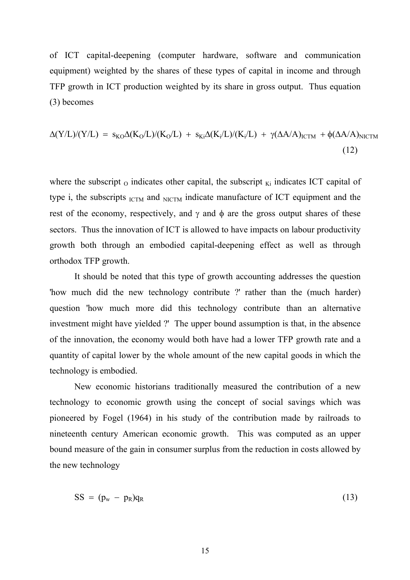of ICT capital-deepening (computer hardware, software and communication equipment) weighted by the shares of these types of capital in income and through TFP growth in ICT production weighted by its share in gross output. Thus equation (3) becomes

$$
\Delta(Y/L)/(Y/L) = s_{KO}\Delta(K_O/L)/(K_O/L) + s_{Ki}\Delta(K_i/L)/(K_i/L) + \gamma(\Delta A/A)_{\text{ICTM}} + \phi(\Delta A/A)_{\text{NICTM}}
$$
\n(12)

where the subscript  $_{0}$  indicates other capital, the subscript  $_{Ki}$  indicates ICT capital of type i, the subscripts  $_{\text{ICTM}}$  and  $_{\text{NICTM}}$  indicate manufacture of ICT equipment and the rest of the economy, respectively, and  $\gamma$  and  $\phi$  are the gross output shares of these sectors. Thus the innovation of ICT is allowed to have impacts on labour productivity growth both through an embodied capital-deepening effect as well as through orthodox TFP growth.

It should be noted that this type of growth accounting addresses the question 'how much did the new technology contribute ?' rather than the (much harder) question 'how much more did this technology contribute than an alternative investment might have yielded ?' The upper bound assumption is that, in the absence of the innovation, the economy would both have had a lower TFP growth rate and a quantity of capital lower by the whole amount of the new capital goods in which the technology is embodied.

New economic historians traditionally measured the contribution of a new technology to economic growth using the concept of social savings which was pioneered by Fogel (1964) in his study of the contribution made by railroads to nineteenth century American economic growth. This was computed as an upper bound measure of the gain in consumer surplus from the reduction in costs allowed by the new technology

$$
SS = (p_w - p_R)q_R \tag{13}
$$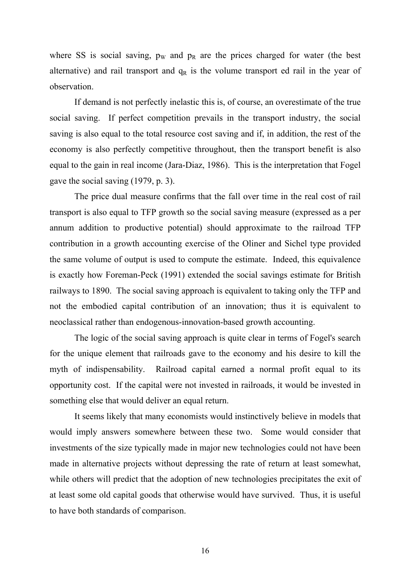where SS is social saving,  $p_W$  and  $p_R$  are the prices charged for water (the best alternative) and rail transport and  $q<sub>R</sub>$  is the volume transport ed rail in the year of observation.

If demand is not perfectly inelastic this is, of course, an overestimate of the true social saving. If perfect competition prevails in the transport industry, the social saving is also equal to the total resource cost saving and if, in addition, the rest of the economy is also perfectly competitive throughout, then the transport benefit is also equal to the gain in real income (Jara-Diaz, 1986). This is the interpretation that Fogel gave the social saving (1979, p. 3).

The price dual measure confirms that the fall over time in the real cost of rail transport is also equal to TFP growth so the social saving measure (expressed as a per annum addition to productive potential) should approximate to the railroad TFP contribution in a growth accounting exercise of the Oliner and Sichel type provided the same volume of output is used to compute the estimate. Indeed, this equivalence is exactly how Foreman-Peck (1991) extended the social savings estimate for British railways to 1890. The social saving approach is equivalent to taking only the TFP and not the embodied capital contribution of an innovation; thus it is equivalent to neoclassical rather than endogenous-innovation-based growth accounting.

The logic of the social saving approach is quite clear in terms of Fogel's search for the unique element that railroads gave to the economy and his desire to kill the myth of indispensability. Railroad capital earned a normal profit equal to its opportunity cost. If the capital were not invested in railroads, it would be invested in something else that would deliver an equal return.

It seems likely that many economists would instinctively believe in models that would imply answers somewhere between these two. Some would consider that investments of the size typically made in major new technologies could not have been made in alternative projects without depressing the rate of return at least somewhat, while others will predict that the adoption of new technologies precipitates the exit of at least some old capital goods that otherwise would have survived. Thus, it is useful to have both standards of comparison.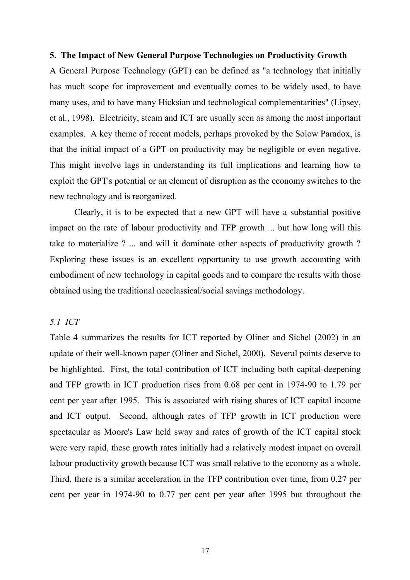#### **5. The Impact of New General Purpose Technologies on Productivity Growth**

A General Purpose Technology (GPT) can be defined as "a technology that initially has much scope for improvement and eventually comes to be widely used, to have many uses, and to have many Hicksian and technological complementarities" (Lipsey, et al., 1998). Electricity, steam and ICT are usually seen as among the most important examples. A key theme of recent models, perhaps provoked by the Solow Paradox, is that the initial impact of a GPT on productivity may be negligible or even negative. This might involve lags in understanding its full implications and learning how to exploit the GPT's potential or an element of disruption as the economy switches to the new technology and is reorganized.

Clearly, it is to be expected that a new GPT will have a substantial positive impact on the rate of labour productivity and TFP growth ... but how long will this take to materialize ? ... and will it dominate other aspects of productivity growth ? Exploring these issues is an excellent opportunity to use growth accounting with embodiment of new technology in capital goods and to compare the results with those obtained using the traditional neoclassical/social savings methodology.

#### *5.1 ICT*

Table 4 summarizes the results for ICT reported by Oliner and Sichel (2002) in an update of their well-known paper (Oliner and Sichel, 2000). Several points deserve to be highlighted. First, the total contribution of ICT including both capital-deepening and TFP growth in ICT production rises from 0.68 per cent in 1974-90 to 1.79 per cent per year after 1995. This is associated with rising shares of ICT capital income and ICT output. Second, although rates of TFP growth in ICT production were spectacular as Moore's Law held sway and rates of growth of the ICT capital stock were very rapid, these growth rates initially had a relatively modest impact on overall labour productivity growth because ICT was small relative to the economy as a whole. Third, there is a similar acceleration in the TFP contribution over time, from 0.27 per cent per year in 1974-90 to 0.77 per cent per year after 1995 but throughout the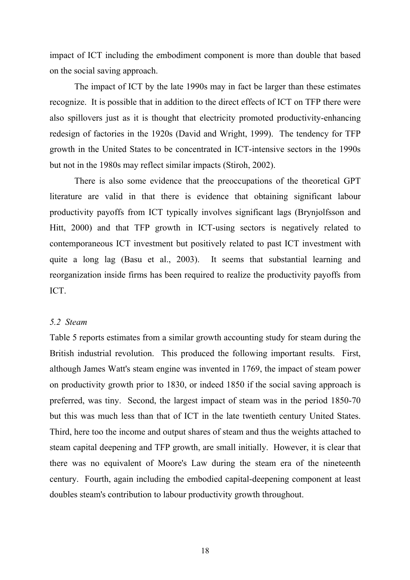impact of ICT including the embodiment component is more than double that based on the social saving approach.

The impact of ICT by the late 1990s may in fact be larger than these estimates recognize. It is possible that in addition to the direct effects of ICT on TFP there were also spillovers just as it is thought that electricity promoted productivity-enhancing redesign of factories in the 1920s (David and Wright, 1999). The tendency for TFP growth in the United States to be concentrated in ICT-intensive sectors in the 1990s but not in the 1980s may reflect similar impacts (Stiroh, 2002).

There is also some evidence that the preoccupations of the theoretical GPT literature are valid in that there is evidence that obtaining significant labour productivity payoffs from ICT typically involves significant lags (Brynjolfsson and Hitt, 2000) and that TFP growth in ICT-using sectors is negatively related to contemporaneous ICT investment but positively related to past ICT investment with quite a long lag (Basu et al., 2003). It seems that substantial learning and reorganization inside firms has been required to realize the productivity payoffs from ICT.

#### *5.2 Steam*

Table 5 reports estimates from a similar growth accounting study for steam during the British industrial revolution. This produced the following important results. First, although James Watt's steam engine was invented in 1769, the impact of steam power on productivity growth prior to 1830, or indeed 1850 if the social saving approach is preferred, was tiny. Second, the largest impact of steam was in the period 1850-70 but this was much less than that of ICT in the late twentieth century United States. Third, here too the income and output shares of steam and thus the weights attached to steam capital deepening and TFP growth, are small initially. However, it is clear that there was no equivalent of Moore's Law during the steam era of the nineteenth century. Fourth, again including the embodied capital-deepening component at least doubles steam's contribution to labour productivity growth throughout.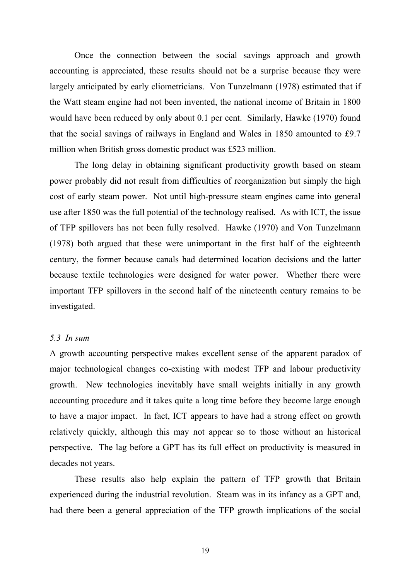Once the connection between the social savings approach and growth accounting is appreciated, these results should not be a surprise because they were largely anticipated by early cliometricians. Von Tunzelmann (1978) estimated that if the Watt steam engine had not been invented, the national income of Britain in 1800 would have been reduced by only about 0.1 per cent. Similarly, Hawke (1970) found that the social savings of railways in England and Wales in 1850 amounted to £9.7 million when British gross domestic product was £523 million.

The long delay in obtaining significant productivity growth based on steam power probably did not result from difficulties of reorganization but simply the high cost of early steam power. Not until high-pressure steam engines came into general use after 1850 was the full potential of the technology realised. As with ICT, the issue of TFP spillovers has not been fully resolved. Hawke (1970) and Von Tunzelmann (1978) both argued that these were unimportant in the first half of the eighteenth century, the former because canals had determined location decisions and the latter because textile technologies were designed for water power. Whether there were important TFP spillovers in the second half of the nineteenth century remains to be investigated.

#### *5.3 In sum*

A growth accounting perspective makes excellent sense of the apparent paradox of major technological changes co-existing with modest TFP and labour productivity growth. New technologies inevitably have small weights initially in any growth accounting procedure and it takes quite a long time before they become large enough to have a major impact. In fact, ICT appears to have had a strong effect on growth relatively quickly, although this may not appear so to those without an historical perspective. The lag before a GPT has its full effect on productivity is measured in decades not years.

These results also help explain the pattern of TFP growth that Britain experienced during the industrial revolution. Steam was in its infancy as a GPT and, had there been a general appreciation of the TFP growth implications of the social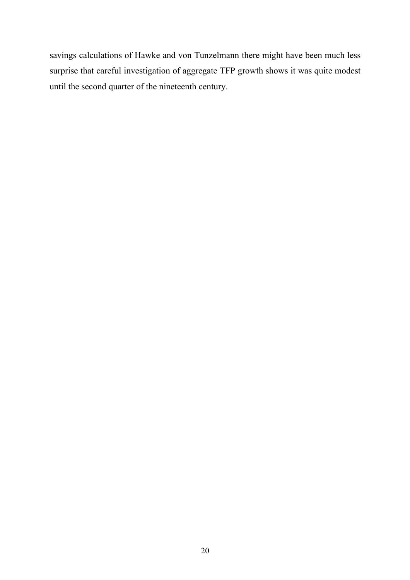savings calculations of Hawke and von Tunzelmann there might have been much less surprise that careful investigation of aggregate TFP growth shows it was quite modest until the second quarter of the nineteenth century.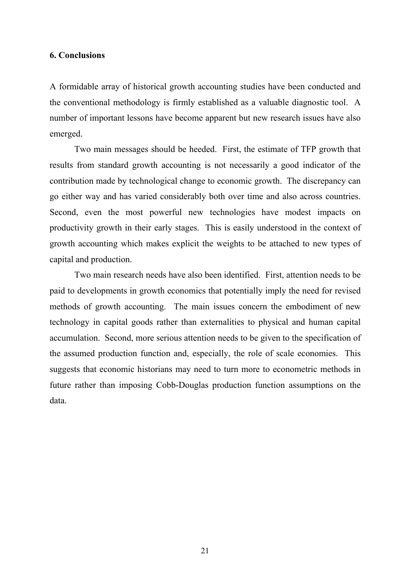#### **6. Conclusions**

A formidable array of historical growth accounting studies have been conducted and the conventional methodology is firmly established as a valuable diagnostic tool. A number of important lessons have become apparent but new research issues have also emerged.

Two main messages should be heeded. First, the estimate of TFP growth that results from standard growth accounting is not necessarily a good indicator of the contribution made by technological change to economic growth. The discrepancy can go either way and has varied considerably both over time and also across countries. Second, even the most powerful new technologies have modest impacts on productivity growth in their early stages. This is easily understood in the context of growth accounting which makes explicit the weights to be attached to new types of capital and production.

Two main research needs have also been identified. First, attention needs to be paid to developments in growth economics that potentially imply the need for revised methods of growth accounting. The main issues concern the embodiment of new technology in capital goods rather than externalities to physical and human capital accumulation. Second, more serious attention needs to be given to the specification of the assumed production function and, especially, the role of scale economies. This suggests that economic historians may need to turn more to econometric methods in future rather than imposing Cobb-Douglas production function assumptions on the data.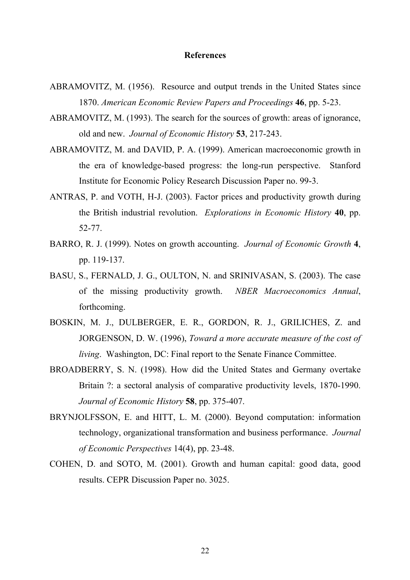#### **References**

- ABRAMOVITZ, M. (1956). Resource and output trends in the United States since 1870. *American Economic Review Papers and Proceedings* **46**, pp. 5-23.
- ABRAMOVITZ, M. (1993). The search for the sources of growth: areas of ignorance, old and new. *Journal of Economic History* **53**, 217-243.
- ABRAMOVITZ, M. and DAVID, P. A. (1999). American macroeconomic growth in the era of knowledge-based progress: the long-run perspective. Stanford Institute for Economic Policy Research Discussion Paper no. 99-3.
- ANTRAS, P. and VOTH, H-J. (2003). Factor prices and productivity growth during the British industrial revolution. *Explorations in Economic History* **40**, pp. 52-77.
- BARRO, R. J. (1999). Notes on growth accounting. *Journal of Economic Growth* **4**, pp. 119-137.
- BASU, S., FERNALD, J. G., OULTON, N. and SRINIVASAN, S. (2003). The case of the missing productivity growth. *NBER Macroeconomics Annual*, forthcoming.
- BOSKIN, M. J., DULBERGER, E. R., GORDON, R. J., GRILICHES, Z. and JORGENSON, D. W. (1996), *Toward a more accurate measure of the cost of living*. Washington, DC: Final report to the Senate Finance Committee.
- BROADBERRY, S. N. (1998). How did the United States and Germany overtake Britain ?: a sectoral analysis of comparative productivity levels, 1870-1990. *Journal of Economic History* **58**, pp. 375-407.
- BRYNJOLFSSON, E. and HITT, L. M. (2000). Beyond computation: information technology, organizational transformation and business performance. *Journal of Economic Perspectives* 14(4), pp. 23-48.
- COHEN, D. and SOTO, M. (2001). Growth and human capital: good data, good results. CEPR Discussion Paper no. 3025.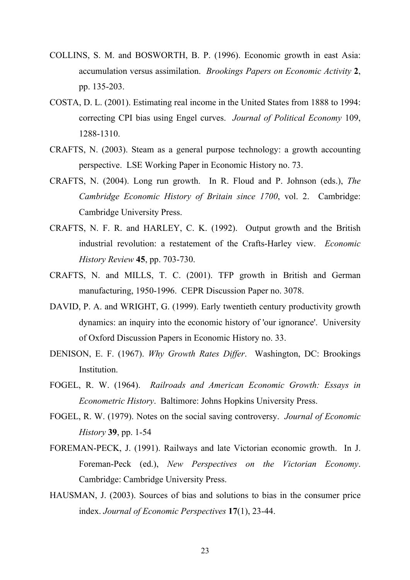- COLLINS, S. M. and BOSWORTH, B. P. (1996). Economic growth in east Asia: accumulation versus assimilation. *Brookings Papers on Economic Activity* **2**, pp. 135-203.
- COSTA, D. L. (2001). Estimating real income in the United States from 1888 to 1994: correcting CPI bias using Engel curves. *Journal of Political Economy* 109, 1288-1310.
- CRAFTS, N. (2003). Steam as a general purpose technology: a growth accounting perspective. LSE Working Paper in Economic History no. 73.
- CRAFTS, N. (2004). Long run growth. In R. Floud and P. Johnson (eds.), *The Cambridge Economic History of Britain since 1700*, vol. 2. Cambridge: Cambridge University Press.
- CRAFTS, N. F. R. and HARLEY, C. K. (1992). Output growth and the British industrial revolution: a restatement of the Crafts-Harley view. *Economic History Review* **45**, pp. 703-730.
- CRAFTS, N. and MILLS, T. C. (2001). TFP growth in British and German manufacturing, 1950-1996. CEPR Discussion Paper no. 3078.
- DAVID, P. A. and WRIGHT, G. (1999). Early twentieth century productivity growth dynamics: an inquiry into the economic history of 'our ignorance'. University of Oxford Discussion Papers in Economic History no. 33.
- DENISON, E. F. (1967). *Why Growth Rates Differ*. Washington, DC: Brookings **Institution**
- FOGEL, R. W. (1964). *Railroads and American Economic Growth: Essays in Econometric History*. Baltimore: Johns Hopkins University Press.
- FOGEL, R. W. (1979). Notes on the social saving controversy. *Journal of Economic History* **39**, pp. 1-54
- FOREMAN-PECK, J. (1991). Railways and late Victorian economic growth. In J. Foreman-Peck (ed.), *New Perspectives on the Victorian Economy*. Cambridge: Cambridge University Press.
- HAUSMAN, J. (2003). Sources of bias and solutions to bias in the consumer price index. *Journal of Economic Perspectives* **17**(1), 23-44.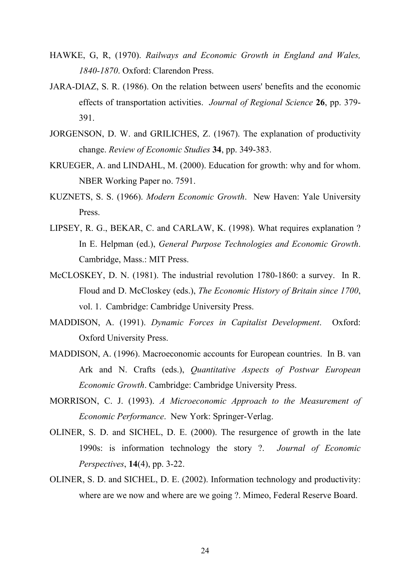- HAWKE, G, R, (1970). *Railways and Economic Growth in England and Wales, 1840-1870*. Oxford: Clarendon Press.
- JARA-DIAZ, S. R. (1986). On the relation between users' benefits and the economic effects of transportation activities. *Journal of Regional Science* **26**, pp. 379- 391.
- JORGENSON, D. W. and GRILICHES, Z. (1967). The explanation of productivity change. *Review of Economic Studies* **34**, pp. 349-383.
- KRUEGER, A. and LINDAHL, M. (2000). Education for growth: why and for whom. NBER Working Paper no. 7591.
- KUZNETS, S. S. (1966). *Modern Economic Growth*. New Haven: Yale University Press.
- LIPSEY, R. G., BEKAR, C. and CARLAW, K. (1998). What requires explanation ? In E. Helpman (ed.), *General Purpose Technologies and Economic Growth*. Cambridge, Mass.: MIT Press.
- McCLOSKEY, D. N. (1981). The industrial revolution 1780-1860: a survey. In R. Floud and D. McCloskey (eds.), *The Economic History of Britain since 1700*, vol. 1. Cambridge: Cambridge University Press.
- MADDISON, A. (1991). *Dynamic Forces in Capitalist Development*. Oxford: Oxford University Press.
- MADDISON, A. (1996). Macroeconomic accounts for European countries. In B. van Ark and N. Crafts (eds.), *Quantitative Aspects of Postwar European Economic Growth*. Cambridge: Cambridge University Press.
- MORRISON, C. J. (1993). *A Microeconomic Approach to the Measurement of Economic Performance*. New York: Springer-Verlag.
- OLINER, S. D. and SICHEL, D. E. (2000). The resurgence of growth in the late 1990s: is information technology the story ?. *Journal of Economic Perspectives*, **14**(4), pp. 3-22.
- OLINER, S. D. and SICHEL, D. E. (2002). Information technology and productivity: where are we now and where are we going ?. Mimeo, Federal Reserve Board.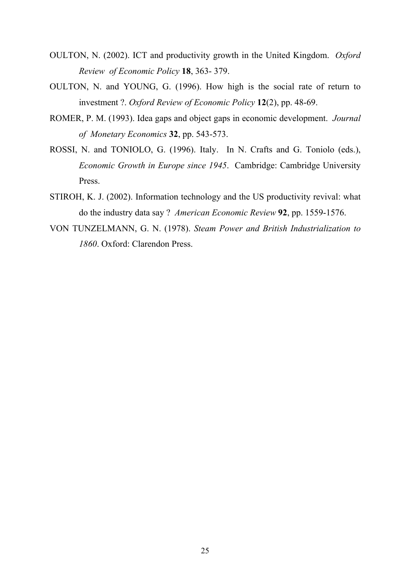- OULTON, N. (2002). ICT and productivity growth in the United Kingdom. *Oxford Review of Economic Policy* **18**, 363- 379.
- OULTON, N. and YOUNG, G. (1996). How high is the social rate of return to investment ?. *Oxford Review of Economic Policy* **12**(2), pp. 48-69.
- ROMER, P. M. (1993). Idea gaps and object gaps in economic development. *Journal of Monetary Economics* **32**, pp. 543-573.
- ROSSI, N. and TONIOLO, G. (1996). Italy. In N. Crafts and G. Toniolo (eds.), *Economic Growth in Europe since 1945*. Cambridge: Cambridge University Press.
- STIROH, K. J. (2002). Information technology and the US productivity revival: what do the industry data say ? *American Economic Review* **92**, pp. 1559-1576.
- VON TUNZELMANN, G. N. (1978). *Steam Power and British Industrialization to 1860*. Oxford: Clarendon Press.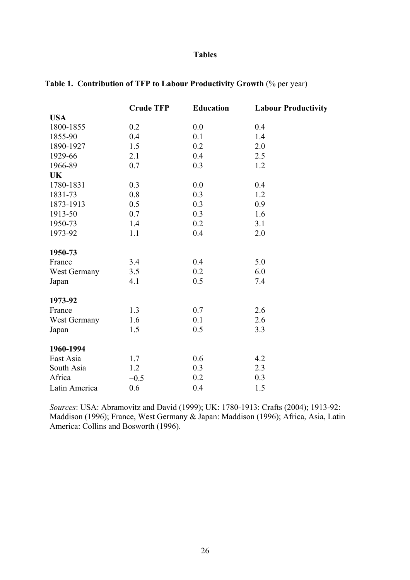#### **Tables**

|               | <b>Crude TFP</b> | <b>Education</b> | <b>Labour Productivity</b> |
|---------------|------------------|------------------|----------------------------|
| <b>USA</b>    |                  |                  |                            |
| 1800-1855     | 0.2              | 0.0              | 0.4                        |
| 1855-90       | 0.4              | 0.1              | 1.4                        |
| 1890-1927     | 1.5              | 0.2              | 2.0                        |
| 1929-66       | 2.1              | 0.4              | 2.5                        |
| 1966-89       | 0.7              | 0.3              | 1.2                        |
| <b>UK</b>     |                  |                  |                            |
| 1780-1831     | 0.3              | 0.0              | 0.4                        |
| 1831-73       | 0.8              | 0.3              | 1.2                        |
| 1873-1913     | 0.5              | 0.3              | 0.9                        |
| 1913-50       | 0.7              | 0.3              | 1.6                        |
| 1950-73       | 1.4              | 0.2              | 3.1                        |
| 1973-92       | 1.1              | 0.4              | 2.0                        |
| 1950-73       |                  |                  |                            |
| France        | 3.4              | 0.4              | 5.0                        |
| West Germany  | 3.5              | 0.2              | 6.0                        |
| Japan         | 4.1              | 0.5              | 7.4                        |
| 1973-92       |                  |                  |                            |
| France        | 1.3              | 0.7              | 2.6                        |
| West Germany  | 1.6              | 0.1              | 2.6                        |
| Japan         | 1.5              | 0.5              | 3.3                        |
| 1960-1994     |                  |                  |                            |
| East Asia     | 1.7              | 0.6              | 4.2                        |
| South Asia    | 1.2              | 0.3              | 2.3                        |
| Africa        | $-0.5$           | 0.2              | 0.3                        |
| Latin America | 0.6              | 0.4              | 1.5                        |

### **Table 1. Contribution of TFP to Labour Productivity Growth** (% per year)

*Sources*: USA: Abramovitz and David (1999); UK: 1780-1913: Crafts (2004); 1913-92: Maddison (1996); France, West Germany & Japan: Maddison (1996); Africa, Asia, Latin America: Collins and Bosworth (1996).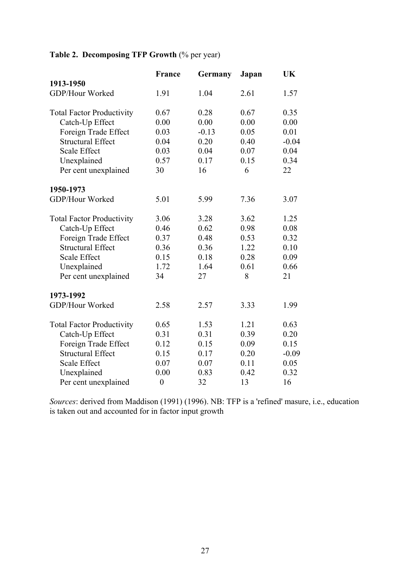## **Table 2. Decomposing TFP Growth** (% per year)

|                                  | France           | Germany | Japan | UK      |
|----------------------------------|------------------|---------|-------|---------|
| 1913-1950                        |                  |         |       |         |
| GDP/Hour Worked                  | 1.91             | 1.04    | 2.61  | 1.57    |
| <b>Total Factor Productivity</b> | 0.67             | 0.28    | 0.67  | 0.35    |
| Catch-Up Effect                  | 0.00             | 0.00    | 0.00  | 0.00    |
| Foreign Trade Effect             | 0.03             | $-0.13$ | 0.05  | 0.01    |
| <b>Structural Effect</b>         | 0.04             | 0.20    | 0.40  | $-0.04$ |
| Scale Effect                     | 0.03             | 0.04    | 0.07  | 0.04    |
| Unexplained                      | 0.57             | 0.17    | 0.15  | 0.34    |
| Per cent unexplained             | 30               | 16      | 6     | 22      |
| 1950-1973                        |                  |         |       |         |
| GDP/Hour Worked                  | 5.01             | 5.99    | 7.36  | 3.07    |
| <b>Total Factor Productivity</b> | 3.06             | 3.28    | 3.62  | 1.25    |
| Catch-Up Effect                  | 0.46             | 0.62    | 0.98  | 0.08    |
| Foreign Trade Effect             | 0.37             | 0.48    | 0.53  | 0.32    |
| <b>Structural Effect</b>         | 0.36             | 0.36    | 1.22  | 0.10    |
| <b>Scale Effect</b>              | 0.15             | 0.18    | 0.28  | 0.09    |
| Unexplained                      | 1.72             | 1.64    | 0.61  | 0.66    |
| Per cent unexplained             | 34               | 27      | 8     | 21      |
| 1973-1992                        |                  |         |       |         |
| GDP/Hour Worked                  | 2.58             | 2.57    | 3.33  | 1.99    |
| <b>Total Factor Productivity</b> | 0.65             | 1.53    | 1.21  | 0.63    |
| Catch-Up Effect                  | 0.31             | 0.31    | 0.39  | 0.20    |
| Foreign Trade Effect             | 0.12             | 0.15    | 0.09  | 0.15    |
| <b>Structural Effect</b>         | 0.15             | 0.17    | 0.20  | $-0.09$ |
| <b>Scale Effect</b>              | 0.07             | 0.07    | 0.11  | 0.05    |
| Unexplained                      | 0.00             | 0.83    | 0.42  | 0.32    |
| Per cent unexplained             | $\boldsymbol{0}$ | 32      | 13    | 16      |

*Sources*: derived from Maddison (1991) (1996). NB: TFP is a 'refined' masure, i.e., education is taken out and accounted for in factor input growth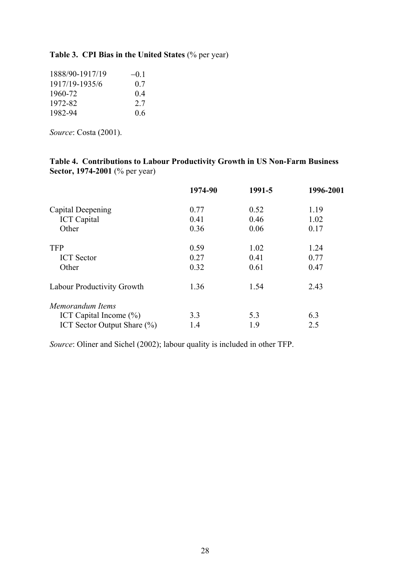### **Table 3. CPI Bias in the United States** (% per year)

| 1888/90-1917/19 | $-01$ |
|-----------------|-------|
| 1917/19-1935/6  | 0.7   |
| 1960-72         | 04    |
| 1972-82         | 2.7   |
| 1982-94         | 06    |

*Source*: Costa (2001).

#### **Table 4. Contributions to Labour Productivity Growth in US Non-Farm Business Sector, 1974-2001** (% per year)

|                                   | 1974-90 | 1991-5 | 1996-2001 |
|-----------------------------------|---------|--------|-----------|
| Capital Deepening                 | 0.77    | 0.52   | 1.19      |
| <b>ICT</b> Capital                | 0.41    | 0.46   | 1.02      |
| Other                             | 0.36    | 0.06   | 0.17      |
| <b>TFP</b>                        | 0.59    | 1.02   | 1.24      |
| <b>ICT</b> Sector                 | 0.27    | 0.41   | 0.77      |
| Other                             | 0.32    | 0.61   | 0.47      |
| <b>Labour Productivity Growth</b> | 1.36    | 1.54   | 2.43      |
| Memorandum Items                  |         |        |           |
| ICT Capital Income $(\% )$        | 3.3     | 5.3    | 6.3       |
| ICT Sector Output Share (%)       | 1.4     | 1.9    | 2.5       |

*Source*: Oliner and Sichel (2002); labour quality is included in other TFP.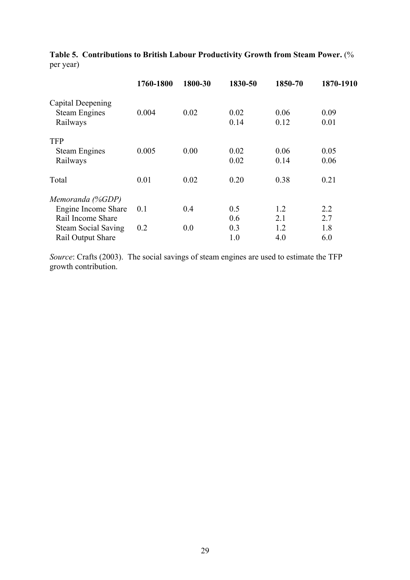|                            | 1760-1800 | 1800-30 | 1830-50 | 1850-70 | 1870-1910 |
|----------------------------|-----------|---------|---------|---------|-----------|
| Capital Deepening          |           |         |         |         |           |
| <b>Steam Engines</b>       | 0.004     | 0.02    | 0.02    | 0.06    | 0.09      |
| Railways                   |           |         | 0.14    | 0.12    | 0.01      |
| <b>TFP</b>                 |           |         |         |         |           |
| <b>Steam Engines</b>       | 0.005     | 0.00    | 0.02    | 0.06    | 0.05      |
| Railways                   |           |         | 0.02    | 0.14    | 0.06      |
| Total                      | 0.01      | 0.02    | 0.20    | 0.38    | 0.21      |
| Memoranda (%GDP)           |           |         |         |         |           |
| Engine Income Share        | 0.1       | 0.4     | 0.5     | 1.2     | 2.2       |
| Rail Income Share          |           |         | 0.6     | 2.1     | 2.7       |
| <b>Steam Social Saving</b> | 0.2       | 0.0     | 0.3     | 1.2     | 1.8       |
| Rail Output Share          |           |         | 1.0     | 4.0     | 6.0       |

**Table 5. Contributions to British Labour Productivity Growth from Steam Power.** (% per year)

*Source*: Crafts (2003). The social savings of steam engines are used to estimate the TFP growth contribution.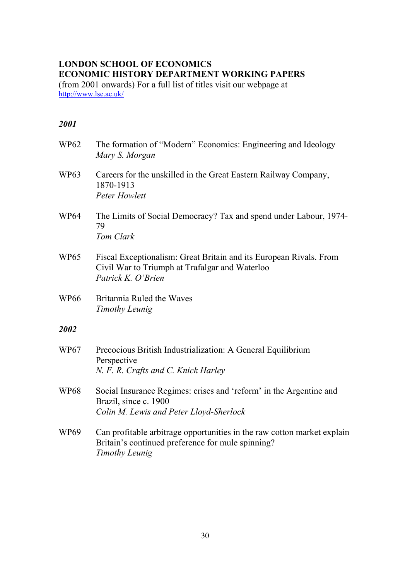### **LONDON SCHOOL OF ECONOMICS ECONOMIC HISTORY DEPARTMENT WORKING PAPERS**

(from 2001 onwards) For a full list of titles visit our webpage at <http://www.lse.ac.uk/>

| <b>WP62</b>      | The formation of "Modern" Economics: Engineering and Ideology<br>Mary S. Morgan                                                                |
|------------------|------------------------------------------------------------------------------------------------------------------------------------------------|
| <b>WP63</b>      | Careers for the unskilled in the Great Eastern Railway Company,<br>1870-1913<br><b>Peter Howlett</b>                                           |
| <b>WP64</b>      | The Limits of Social Democracy? Tax and spend under Labour, 1974-<br>79<br>Tom Clark                                                           |
| WP <sub>65</sub> | Fiscal Exceptionalism: Great Britain and its European Rivals. From<br>Civil War to Triumph at Trafalgar and Waterloo<br>Patrick K. O'Brien     |
| WP <sub>66</sub> | Britannia Ruled the Waves<br>Timothy Leunig                                                                                                    |
| 2002             |                                                                                                                                                |
| <b>WP67</b>      | Precocious British Industrialization: A General Equilibrium<br>Perspective<br>N. F. R. Crafts and C. Knick Harley                              |
| <b>WP68</b>      | Social Insurance Regimes: crises and 'reform' in the Argentine and<br>Brazil, since c. 1900<br>Colin M. Lewis and Peter Lloyd-Sherlock         |
| <b>WP69</b>      | Can profitable arbitrage opportunities in the raw cotton market explain<br>Britain's continued preference for mule spinning?<br>Timothy Leunig |
|                  |                                                                                                                                                |